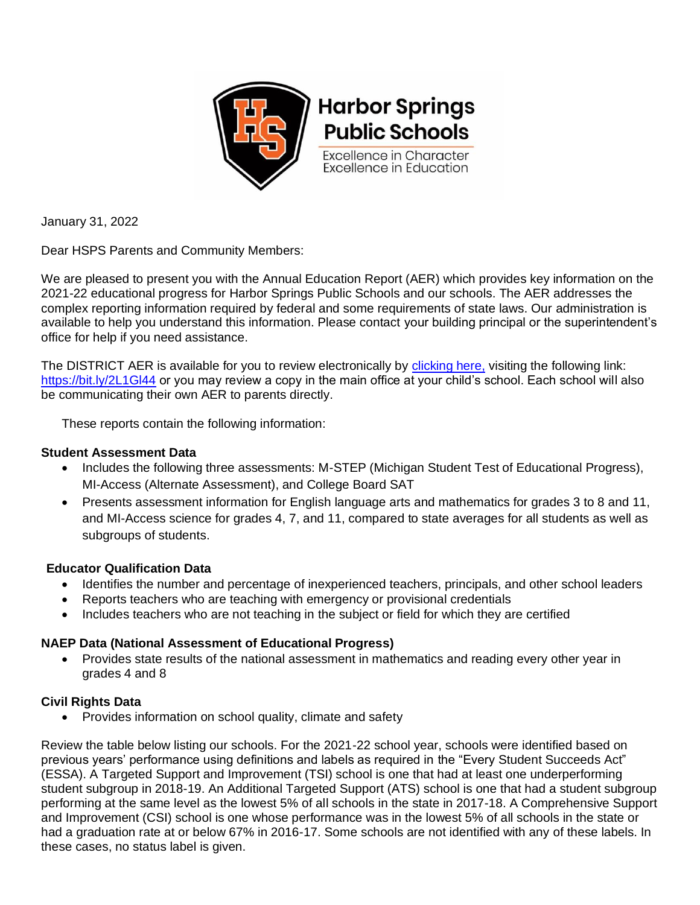

January 31, 2022

Dear HSPS Parents and Community Members:

We are pleased to present you with the Annual Education Report (AER) which provides key information on the 2021-22 educational progress for Harbor Springs Public Schools and our schools. The AER addresses the complex reporting information required by federal and some requirements of state laws. Our administration is available to help you understand this information. Please contact your building principal or the superintendent's office for help if you need assistance.

The DISTRICT AER is available for you to review electronically by [clicking here,](https://bit.ly/2L1Gl44) visiting the following link: https://bit.ly/2L1GI44 or you may review a copy in the main office at your child's school. Each school will also be communicating their own AER to parents directly.

These reports contain the following information:

## **Student Assessment Data**

- Includes the following three assessments: M-STEP (Michigan Student Test of Educational Progress), MI-Access (Alternate Assessment), and College Board SAT
- Presents assessment information for English language arts and mathematics for grades 3 to 8 and 11, and MI-Access science for grades 4, 7, and 11, compared to state averages for all students as well as subgroups of students.

## **Educator Qualification Data**

- Identifies the number and percentage of inexperienced teachers, principals, and other school leaders
- Reports teachers who are teaching with emergency or provisional credentials
- Includes teachers who are not teaching in the subject or field for which they are certified

## **NAEP Data (National Assessment of Educational Progress)**

• Provides state results of the national assessment in mathematics and reading every other year in grades 4 and 8

## **Civil Rights Data**

• Provides information on school quality, climate and safety

Review the table below listing our schools. For the 2021-22 school year, schools were identified based on previous years' performance using definitions and labels as required in the "Every Student Succeeds Act" (ESSA). A Targeted Support and Improvement (TSI) school is one that had at least one underperforming student subgroup in 2018-19. An Additional Targeted Support (ATS) school is one that had a student subgroup performing at the same level as the lowest 5% of all schools in the state in 2017-18. A Comprehensive Support and Improvement (CSI) school is one whose performance was in the lowest 5% of all schools in the state or had a graduation rate at or below 67% in 2016-17. Some schools are not identified with any of these labels. In these cases, no status label is given.